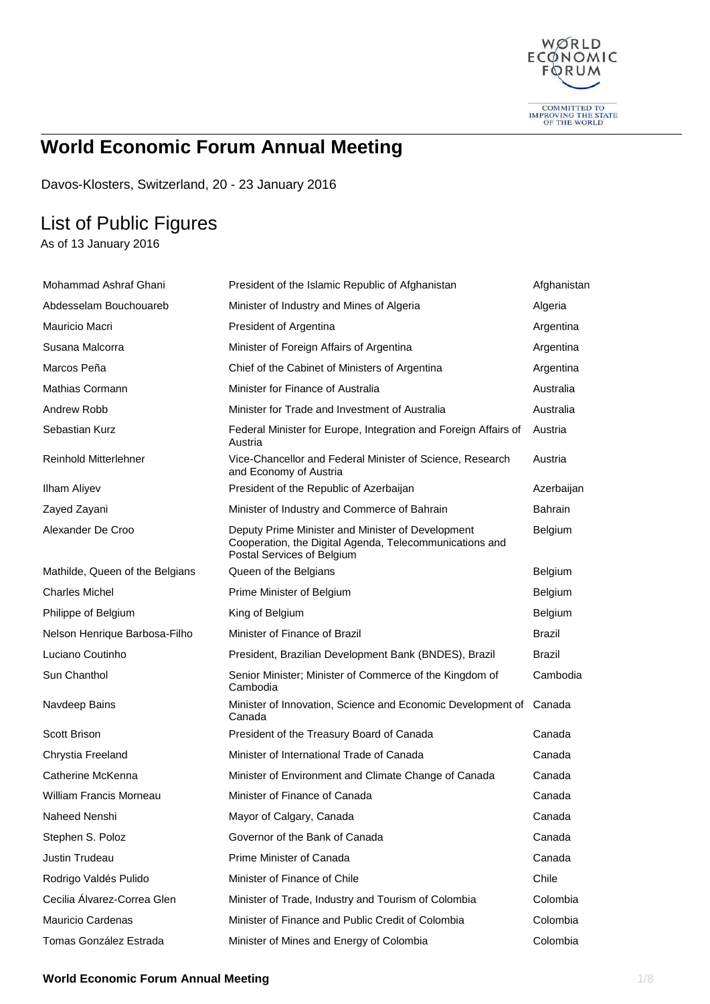

# **World Economic Forum Annual Meeting**

Davos-Klosters, Switzerland, 20 - 23 January 2016

## List of Public Figures

As of 13 January 2016

| Mohammad Ashraf Ghani           | President of the Islamic Republic of Afghanistan                                                                                           | Afghanistan    |
|---------------------------------|--------------------------------------------------------------------------------------------------------------------------------------------|----------------|
| Abdesselam Bouchouareb          | Minister of Industry and Mines of Algeria                                                                                                  | Algeria        |
| Mauricio Macri                  | President of Argentina                                                                                                                     | Argentina      |
| Susana Malcorra                 | Minister of Foreign Affairs of Argentina                                                                                                   | Argentina      |
| Marcos Peña                     | Chief of the Cabinet of Ministers of Argentina                                                                                             | Argentina      |
| Mathias Cormann                 | Minister for Finance of Australia                                                                                                          | Australia      |
| Andrew Robb                     | Minister for Trade and Investment of Australia                                                                                             | Australia      |
| Sebastian Kurz                  | Federal Minister for Europe, Integration and Foreign Affairs of<br>Austria                                                                 | Austria        |
| <b>Reinhold Mitterlehner</b>    | Vice-Chancellor and Federal Minister of Science, Research<br>and Economy of Austria                                                        | Austria        |
| Ilham Aliyev                    | President of the Republic of Azerbaijan                                                                                                    | Azerbaijan     |
| Zayed Zayani                    | Minister of Industry and Commerce of Bahrain                                                                                               | <b>Bahrain</b> |
| Alexander De Croo               | Deputy Prime Minister and Minister of Development<br>Cooperation, the Digital Agenda, Telecommunications and<br>Postal Services of Belgium | <b>Belgium</b> |
| Mathilde, Queen of the Belgians | Queen of the Belgians                                                                                                                      | Belgium        |
| <b>Charles Michel</b>           | Prime Minister of Belgium                                                                                                                  | Belgium        |
| Philippe of Belgium             | King of Belgium                                                                                                                            | Belgium        |
| Nelson Henrique Barbosa-Filho   | Minister of Finance of Brazil                                                                                                              | Brazil         |
| Luciano Coutinho                | President, Brazilian Development Bank (BNDES), Brazil                                                                                      | Brazil         |
| Sun Chanthol                    | Senior Minister; Minister of Commerce of the Kingdom of<br>Cambodia                                                                        | Cambodia       |
| Navdeep Bains                   | Minister of Innovation, Science and Economic Development of<br>Canada                                                                      | Canada         |
| Scott Brison                    | President of the Treasury Board of Canada                                                                                                  | Canada         |
| Chrystia Freeland               | Minister of International Trade of Canada                                                                                                  | Canada         |
| Catherine McKenna               | Minister of Environment and Climate Change of Canada                                                                                       | Canada         |
| William Francis Morneau         | Minister of Finance of Canada                                                                                                              | Canada         |
| Naheed Nenshi                   | Mayor of Calgary, Canada                                                                                                                   | Canada         |
| Stephen S. Poloz                | Governor of the Bank of Canada                                                                                                             | Canada         |
| Justin Trudeau                  | Prime Minister of Canada                                                                                                                   | Canada         |
| Rodrigo Valdés Pulido           | Minister of Finance of Chile                                                                                                               | Chile          |
| Cecilia Álvarez-Correa Glen     | Minister of Trade, Industry and Tourism of Colombia                                                                                        | Colombia       |
| <b>Mauricio Cardenas</b>        | Minister of Finance and Public Credit of Colombia                                                                                          | Colombia       |
| Tomas González Estrada          | Minister of Mines and Energy of Colombia                                                                                                   | Colombia       |

#### **World Economic Forum Annual Meeting 1/8 2008 1/8 2009 1/8 2009 1/8 2009 1/8 2009 1/8 2009 1/8 2009 1/8 2009 1/8 2009 1/8 2009 1/8 2009 1/8 2009 1/8 2009 1/8 2009 1/8 2009 1/8 2009 1/8 2009 1/8 2009 1/8 2009 1/8 2009 1/8 2**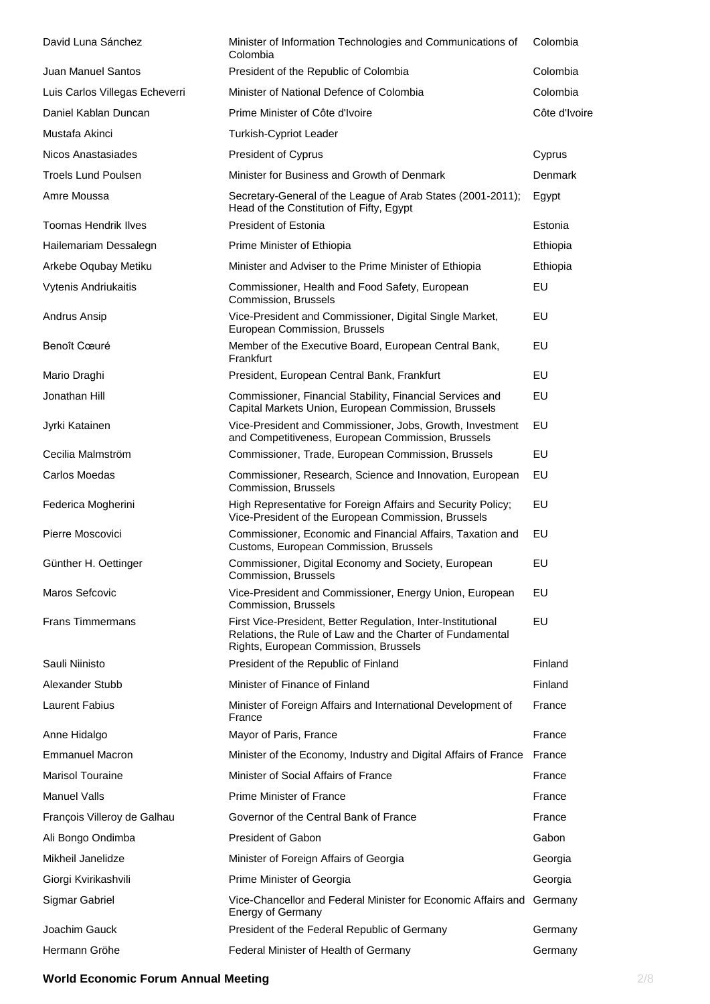| David Luna Sánchez             | Minister of Information Technologies and Communications of<br>Colombia                                                                                             | Colombia      |
|--------------------------------|--------------------------------------------------------------------------------------------------------------------------------------------------------------------|---------------|
| Juan Manuel Santos             | President of the Republic of Colombia                                                                                                                              | Colombia      |
| Luis Carlos Villegas Echeverri | Minister of National Defence of Colombia                                                                                                                           | Colombia      |
| Daniel Kablan Duncan           | Prime Minister of Côte d'Ivoire                                                                                                                                    | Côte d'Ivoire |
| Mustafa Akinci                 | <b>Turkish-Cypriot Leader</b>                                                                                                                                      |               |
| Nicos Anastasiades             | President of Cyprus                                                                                                                                                | Cyprus        |
| <b>Troels Lund Poulsen</b>     | Minister for Business and Growth of Denmark                                                                                                                        | Denmark       |
| Amre Moussa                    | Secretary-General of the League of Arab States (2001-2011);<br>Head of the Constitution of Fifty, Egypt                                                            | Egypt         |
| <b>Toomas Hendrik Ilves</b>    | <b>President of Estonia</b>                                                                                                                                        | Estonia       |
| Hailemariam Dessalegn          | Prime Minister of Ethiopia                                                                                                                                         | Ethiopia      |
| Arkebe Oqubay Metiku           | Minister and Adviser to the Prime Minister of Ethiopia                                                                                                             | Ethiopia      |
| Vytenis Andriukaitis           | Commissioner, Health and Food Safety, European<br>Commission, Brussels                                                                                             | EU            |
| Andrus Ansip                   | Vice-President and Commissioner, Digital Single Market,<br>European Commission, Brussels                                                                           | EU            |
| Benoît Cœuré                   | Member of the Executive Board, European Central Bank,<br>Frankfurt                                                                                                 | EU            |
| Mario Draghi                   | President, European Central Bank, Frankfurt                                                                                                                        | <b>EU</b>     |
| Jonathan Hill                  | Commissioner, Financial Stability, Financial Services and<br>Capital Markets Union, European Commission, Brussels                                                  | EU            |
| Jyrki Katainen                 | Vice-President and Commissioner, Jobs, Growth, Investment<br>and Competitiveness, European Commission, Brussels                                                    | EU            |
| Cecilia Malmström              | Commissioner, Trade, European Commission, Brussels                                                                                                                 | EU            |
| Carlos Moedas                  | Commissioner, Research, Science and Innovation, European<br>Commission, Brussels                                                                                   | EU            |
| Federica Mogherini             | High Representative for Foreign Affairs and Security Policy;<br>Vice-President of the European Commission, Brussels                                                | EU            |
| Pierre Moscovici               | Commissioner, Economic and Financial Affairs, Taxation and<br>Customs, European Commission, Brussels                                                               | EU            |
| Günther H. Oettinger           | Commissioner, Digital Economy and Society, European<br>Commission, Brussels                                                                                        | EU            |
| Maros Sefcovic                 | Vice-President and Commissioner, Energy Union, European<br>Commission, Brussels                                                                                    | EU            |
| <b>Frans Timmermans</b>        | First Vice-President, Better Regulation, Inter-Institutional<br>Relations, the Rule of Law and the Charter of Fundamental<br>Rights, European Commission, Brussels | EU            |
| Sauli Niinisto                 | President of the Republic of Finland                                                                                                                               | Finland       |
| Alexander Stubb                | Minister of Finance of Finland                                                                                                                                     | Finland       |
| <b>Laurent Fabius</b>          | Minister of Foreign Affairs and International Development of<br>France                                                                                             | France        |
| Anne Hidalgo                   | Mayor of Paris, France                                                                                                                                             | France        |
| <b>Emmanuel Macron</b>         | Minister of the Economy, Industry and Digital Affairs of France                                                                                                    | France        |
| <b>Marisol Touraine</b>        | Minister of Social Affairs of France                                                                                                                               | France        |
| <b>Manuel Valls</b>            | <b>Prime Minister of France</b>                                                                                                                                    | France        |
| François Villeroy de Galhau    | Governor of the Central Bank of France                                                                                                                             | France        |
| Ali Bongo Ondimba              | <b>President of Gabon</b>                                                                                                                                          | Gabon         |
| Mikheil Janelidze              | Minister of Foreign Affairs of Georgia                                                                                                                             | Georgia       |
| Giorgi Kvirikashvili           | Prime Minister of Georgia                                                                                                                                          | Georgia       |
| Sigmar Gabriel                 | Vice-Chancellor and Federal Minister for Economic Affairs and<br><b>Energy of Germany</b>                                                                          | Germany       |
| Joachim Gauck                  | President of the Federal Republic of Germany                                                                                                                       | Germany       |
| Hermann Gröhe                  | Federal Minister of Health of Germany                                                                                                                              | Germany       |

### **World Economic Forum Annual Meeting** 2/8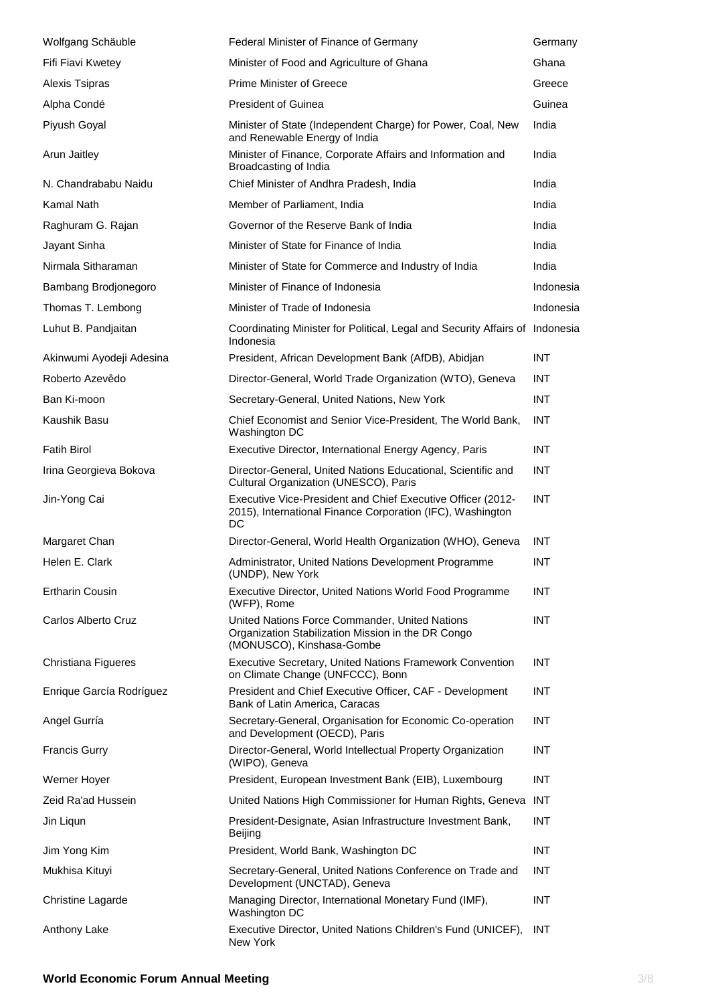| Wolfgang Schäuble        | Federal Minister of Finance of Germany                                                                                            | Germany    |
|--------------------------|-----------------------------------------------------------------------------------------------------------------------------------|------------|
| Fifi Fiavi Kwetey        | Minister of Food and Agriculture of Ghana                                                                                         | Ghana      |
| Alexis Tsipras           | Prime Minister of Greece                                                                                                          | Greece     |
| Alpha Condé              | <b>President of Guinea</b>                                                                                                        | Guinea     |
| Piyush Goyal             | Minister of State (Independent Charge) for Power, Coal, New<br>and Renewable Energy of India                                      | India      |
| Arun Jaitley             | Minister of Finance, Corporate Affairs and Information and<br>Broadcasting of India                                               | India      |
| N. Chandrababu Naidu     | Chief Minister of Andhra Pradesh, India                                                                                           | India      |
| Kamal Nath               | Member of Parliament, India                                                                                                       | India      |
| Raghuram G. Rajan        | Governor of the Reserve Bank of India                                                                                             | India      |
| Jayant Sinha             | Minister of State for Finance of India                                                                                            | India      |
| Nirmala Sitharaman       | Minister of State for Commerce and Industry of India                                                                              | India      |
| Bambang Brodjonegoro     | Minister of Finance of Indonesia                                                                                                  | Indonesia  |
| Thomas T. Lembong        | Minister of Trade of Indonesia                                                                                                    | Indonesia  |
| Luhut B. Pandjaitan      | Coordinating Minister for Political, Legal and Security Affairs of Indonesia<br>Indonesia                                         |            |
| Akinwumi Ayodeji Adesina | President, African Development Bank (AfDB), Abidjan                                                                               | <b>INT</b> |
| Roberto Azevêdo          | Director-General, World Trade Organization (WTO), Geneva                                                                          | INT.       |
| Ban Ki-moon              | Secretary-General, United Nations, New York                                                                                       | <b>INT</b> |
| Kaushik Basu             | Chief Economist and Senior Vice-President, The World Bank,<br>Washington DC                                                       | <b>INT</b> |
| <b>Fatih Birol</b>       | Executive Director, International Energy Agency, Paris                                                                            | <b>INT</b> |
| Irina Georgieva Bokova   | Director-General, United Nations Educational, Scientific and<br>Cultural Organization (UNESCO), Paris                             | <b>INT</b> |
| Jin-Yong Cai             | Executive Vice-President and Chief Executive Officer (2012-<br>2015), International Finance Corporation (IFC), Washington<br>DC   | <b>INT</b> |
| Margaret Chan            | Director-General, World Health Organization (WHO), Geneva                                                                         | <b>INT</b> |
| Helen E. Clark           | Administrator, United Nations Development Programme<br>(UNDP), New York                                                           | <b>INT</b> |
| <b>Ertharin Cousin</b>   | Executive Director, United Nations World Food Programme<br>(WFP), Rome                                                            | <b>INT</b> |
| Carlos Alberto Cruz      | United Nations Force Commander, United Nations<br>Organization Stabilization Mission in the DR Congo<br>(MONUSCO), Kinshasa-Gombe | <b>INT</b> |
| Christiana Figueres      | <b>Executive Secretary, United Nations Framework Convention</b><br>on Climate Change (UNFCCC), Bonn                               | <b>INT</b> |
| Enrique García Rodríguez | President and Chief Executive Officer, CAF - Development<br>Bank of Latin America, Caracas                                        | <b>INT</b> |
| Angel Gurría             | Secretary-General, Organisation for Economic Co-operation<br>and Development (OECD), Paris                                        | <b>INT</b> |
| <b>Francis Gurry</b>     | Director-General, World Intellectual Property Organization<br>(WIPO), Geneva                                                      | <b>INT</b> |
| Werner Hoyer             | President, European Investment Bank (EIB), Luxembourg                                                                             | <b>INT</b> |
| Zeid Ra'ad Hussein       | United Nations High Commissioner for Human Rights, Geneva                                                                         | INT        |
| Jin Liqun                | President-Designate, Asian Infrastructure Investment Bank,<br>Beijing                                                             | <b>INT</b> |
| Jim Yong Kim             | President, World Bank, Washington DC                                                                                              | <b>INT</b> |
| Mukhisa Kituyi           | Secretary-General, United Nations Conference on Trade and<br>Development (UNCTAD), Geneva                                         | <b>INT</b> |
| Christine Lagarde        | Managing Director, International Monetary Fund (IMF),<br>Washington DC                                                            | <b>INT</b> |
| Anthony Lake             | Executive Director, United Nations Children's Fund (UNICEF),<br>New York                                                          | <b>INT</b> |

## **World Economic Forum Annual Meeting** 3/8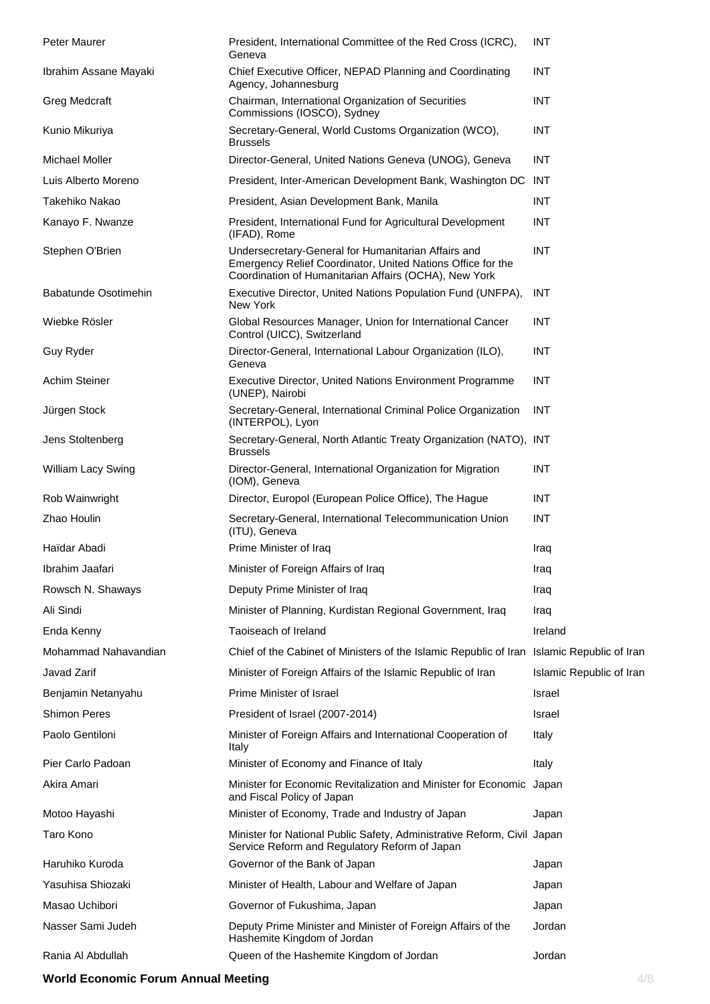| Peter Maurer          | President, International Committee of the Red Cross (ICRC),<br>Geneva                                                                                                       | <b>INT</b>               |
|-----------------------|-----------------------------------------------------------------------------------------------------------------------------------------------------------------------------|--------------------------|
| Ibrahim Assane Mayaki | Chief Executive Officer, NEPAD Planning and Coordinating<br>Agency, Johannesburg                                                                                            | <b>INT</b>               |
| <b>Greg Medcraft</b>  | Chairman, International Organization of Securities<br>Commissions (IOSCO), Sydney                                                                                           | <b>INT</b>               |
| Kunio Mikuriya        | Secretary-General, World Customs Organization (WCO),<br><b>Brussels</b>                                                                                                     | <b>INT</b>               |
| <b>Michael Moller</b> | Director-General, United Nations Geneva (UNOG), Geneva                                                                                                                      | <b>INT</b>               |
| Luis Alberto Moreno   | President, Inter-American Development Bank, Washington DC INT                                                                                                               |                          |
| Takehiko Nakao        | President, Asian Development Bank, Manila                                                                                                                                   | <b>INT</b>               |
| Kanayo F. Nwanze      | President, International Fund for Agricultural Development<br>(IFAD), Rome                                                                                                  | <b>INT</b>               |
| Stephen O'Brien       | Undersecretary-General for Humanitarian Affairs and<br>Emergency Relief Coordinator, United Nations Office for the<br>Coordination of Humanitarian Affairs (OCHA), New York | <b>INT</b>               |
| Babatunde Osotimehin  | Executive Director, United Nations Population Fund (UNFPA),<br>New York                                                                                                     | INT                      |
| Wiebke Rösler         | Global Resources Manager, Union for International Cancer<br>Control (UICC), Switzerland                                                                                     | <b>INT</b>               |
| Guy Ryder             | Director-General, International Labour Organization (ILO),<br>Geneva                                                                                                        | <b>INT</b>               |
| <b>Achim Steiner</b>  | Executive Director, United Nations Environment Programme<br>(UNEP), Nairobi                                                                                                 | <b>INT</b>               |
| Jürgen Stock          | Secretary-General, International Criminal Police Organization<br>(INTERPOL), Lyon                                                                                           | <b>INT</b>               |
| Jens Stoltenberg      | Secretary-General, North Atlantic Treaty Organization (NATO), INT<br><b>Brussels</b>                                                                                        |                          |
| William Lacy Swing    | Director-General, International Organization for Migration<br>(IOM), Geneva                                                                                                 | <b>INT</b>               |
| Rob Wainwright        | Director, Europol (European Police Office), The Hague                                                                                                                       | <b>INT</b>               |
| Zhao Houlin           | Secretary-General, International Telecommunication Union<br>(ITU), Geneva                                                                                                   | <b>INT</b>               |
| Haïdar Abadi          | Prime Minister of Iraq                                                                                                                                                      | Iraq                     |
| Ibrahim Jaafari       | Minister of Foreign Affairs of Iraq                                                                                                                                         | Iraq                     |
| Rowsch N. Shaways     | Deputy Prime Minister of Iraq                                                                                                                                               | Iraq                     |
| Ali Sindi             | Minister of Planning, Kurdistan Regional Government, Iraq                                                                                                                   | Iraq                     |
| Enda Kenny            | Taoiseach of Ireland                                                                                                                                                        | Ireland                  |
| Mohammad Nahavandian  | Chief of the Cabinet of Ministers of the Islamic Republic of Iran Islamic Republic of Iran                                                                                  |                          |
| Javad Zarif           | Minister of Foreign Affairs of the Islamic Republic of Iran                                                                                                                 | Islamic Republic of Iran |
| Benjamin Netanyahu    | Prime Minister of Israel                                                                                                                                                    | Israel                   |
| <b>Shimon Peres</b>   | President of Israel (2007-2014)                                                                                                                                             | Israel                   |
| Paolo Gentiloni       | Minister of Foreign Affairs and International Cooperation of<br>Italy                                                                                                       | Italy                    |
| Pier Carlo Padoan     | Minister of Economy and Finance of Italy                                                                                                                                    | Italy                    |
| Akira Amari           | Minister for Economic Revitalization and Minister for Economic Japan<br>and Fiscal Policy of Japan                                                                          |                          |
| Motoo Hayashi         | Minister of Economy, Trade and Industry of Japan                                                                                                                            | Japan                    |
| Taro Kono             | Minister for National Public Safety, Administrative Reform, Civil Japan<br>Service Reform and Regulatory Reform of Japan                                                    |                          |
| Haruhiko Kuroda       | Governor of the Bank of Japan                                                                                                                                               | Japan                    |
| Yasuhisa Shiozaki     | Minister of Health, Labour and Welfare of Japan                                                                                                                             | Japan                    |
| Masao Uchibori        | Governor of Fukushima, Japan                                                                                                                                                | Japan                    |
| Nasser Sami Judeh     | Deputy Prime Minister and Minister of Foreign Affairs of the<br>Hashemite Kingdom of Jordan                                                                                 | Jordan                   |
| Rania Al Abdullah     | Queen of the Hashemite Kingdom of Jordan                                                                                                                                    | Jordan                   |

### **World Economic Forum Annual Meeting <b>4/8 Annual Meeting 4/8**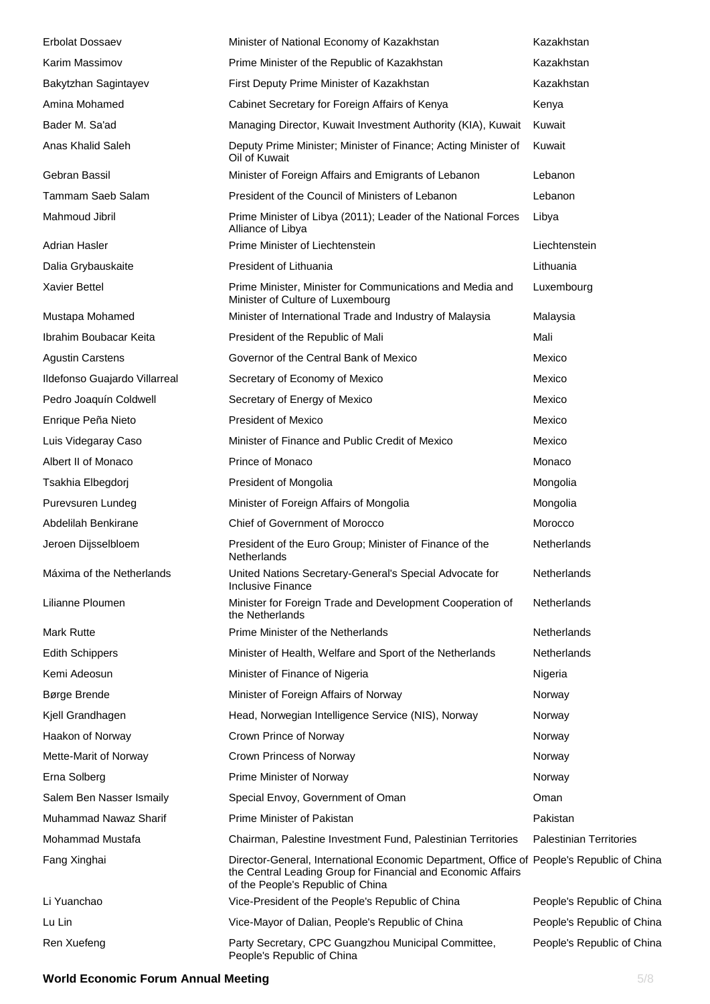| <b>Erbolat Dossaev</b>        | Minister of National Economy of Kazakhstan                                                                                                                                                     | Kazakhstan                     |
|-------------------------------|------------------------------------------------------------------------------------------------------------------------------------------------------------------------------------------------|--------------------------------|
| Karim Massimov                | Prime Minister of the Republic of Kazakhstan                                                                                                                                                   | Kazakhstan                     |
| Bakytzhan Sagintayev          | First Deputy Prime Minister of Kazakhstan                                                                                                                                                      | Kazakhstan                     |
| Amina Mohamed                 | Cabinet Secretary for Foreign Affairs of Kenya                                                                                                                                                 | Kenya                          |
| Bader M. Sa'ad                | Managing Director, Kuwait Investment Authority (KIA), Kuwait                                                                                                                                   | Kuwait                         |
| Anas Khalid Saleh             | Deputy Prime Minister; Minister of Finance; Acting Minister of<br>Oil of Kuwait                                                                                                                | Kuwait                         |
| Gebran Bassil                 | Minister of Foreign Affairs and Emigrants of Lebanon                                                                                                                                           | Lebanon                        |
| Tammam Saeb Salam             | President of the Council of Ministers of Lebanon                                                                                                                                               | Lebanon                        |
| Mahmoud Jibril                | Prime Minister of Libya (2011); Leader of the National Forces<br>Alliance of Libya                                                                                                             | Libya                          |
| Adrian Hasler                 | Prime Minister of Liechtenstein                                                                                                                                                                | Liechtenstein                  |
| Dalia Grybauskaite            | President of Lithuania                                                                                                                                                                         | Lithuania                      |
| <b>Xavier Bettel</b>          | Prime Minister, Minister for Communications and Media and<br>Minister of Culture of Luxembourg                                                                                                 | Luxembourg                     |
| Mustapa Mohamed               | Minister of International Trade and Industry of Malaysia                                                                                                                                       | Malaysia                       |
| Ibrahim Boubacar Keita        | President of the Republic of Mali                                                                                                                                                              | Mali                           |
| <b>Agustin Carstens</b>       | Governor of the Central Bank of Mexico                                                                                                                                                         | Mexico                         |
| Ildefonso Guajardo Villarreal | Secretary of Economy of Mexico                                                                                                                                                                 | Mexico                         |
| Pedro Joaquín Coldwell        | Secretary of Energy of Mexico                                                                                                                                                                  | Mexico                         |
| Enrique Peña Nieto            | <b>President of Mexico</b>                                                                                                                                                                     | Mexico                         |
| Luis Videgaray Caso           | Minister of Finance and Public Credit of Mexico                                                                                                                                                | Mexico                         |
| Albert II of Monaco           | Prince of Monaco                                                                                                                                                                               | Monaco                         |
| Tsakhia Elbegdorj             | President of Mongolia                                                                                                                                                                          | Mongolia                       |
| Purevsuren Lundeg             | Minister of Foreign Affairs of Mongolia                                                                                                                                                        | Mongolia                       |
| Abdelilah Benkirane           | Chief of Government of Morocco                                                                                                                                                                 | Morocco                        |
| Jeroen Dijsselbloem           | President of the Euro Group; Minister of Finance of the<br>Netherlands                                                                                                                         | Netherlands                    |
| Máxima of the Netherlands     | United Nations Secretary-General's Special Advocate for<br>Inclusive Finance                                                                                                                   | Netherlands                    |
| Lilianne Ploumen              | Minister for Foreign Trade and Development Cooperation of<br>the Netherlands                                                                                                                   | Netherlands                    |
| Mark Rutte                    | Prime Minister of the Netherlands                                                                                                                                                              | Netherlands                    |
| <b>Edith Schippers</b>        | Minister of Health, Welfare and Sport of the Netherlands                                                                                                                                       | Netherlands                    |
| Kemi Adeosun                  | Minister of Finance of Nigeria                                                                                                                                                                 | Nigeria                        |
| Børge Brende                  | Minister of Foreign Affairs of Norway                                                                                                                                                          | Norway                         |
| Kjell Grandhagen              | Head, Norwegian Intelligence Service (NIS), Norway                                                                                                                                             | Norway                         |
| Haakon of Norway              | Crown Prince of Norway                                                                                                                                                                         | Norway                         |
| Mette-Marit of Norway         | Crown Princess of Norway                                                                                                                                                                       | Norway                         |
| Erna Solberg                  | Prime Minister of Norway                                                                                                                                                                       | Norway                         |
| Salem Ben Nasser Ismaily      | Special Envoy, Government of Oman                                                                                                                                                              | Oman                           |
| Muhammad Nawaz Sharif         | Prime Minister of Pakistan                                                                                                                                                                     | Pakistan                       |
| Mohammad Mustafa              | Chairman, Palestine Investment Fund, Palestinian Territories                                                                                                                                   | <b>Palestinian Territories</b> |
| Fang Xinghai                  | Director-General, International Economic Department, Office of People's Republic of China<br>the Central Leading Group for Financial and Economic Affairs<br>of the People's Republic of China |                                |
| Li Yuanchao                   | Vice-President of the People's Republic of China                                                                                                                                               | People's Republic of China     |
| Lu Lin                        | Vice-Mayor of Dalian, People's Republic of China                                                                                                                                               | People's Republic of China     |
| Ren Xuefeng                   | Party Secretary, CPC Guangzhou Municipal Committee,<br>People's Republic of China                                                                                                              | People's Republic of China     |

#### **World Economic Forum Annual Meeting 6/8 and 7/8 and 7/8 and 7/8 and 7/8 and 7/8 and 7/8 and 7/8 and 7/8 and 7/8 and 7/8 and 7/8 and 7/8 and 7/8 and 7/8 and 7/8 and 7/8 and 7/8 and 7/8 and 7/8 and 7/8 and 7/8 and 7/8 and 7**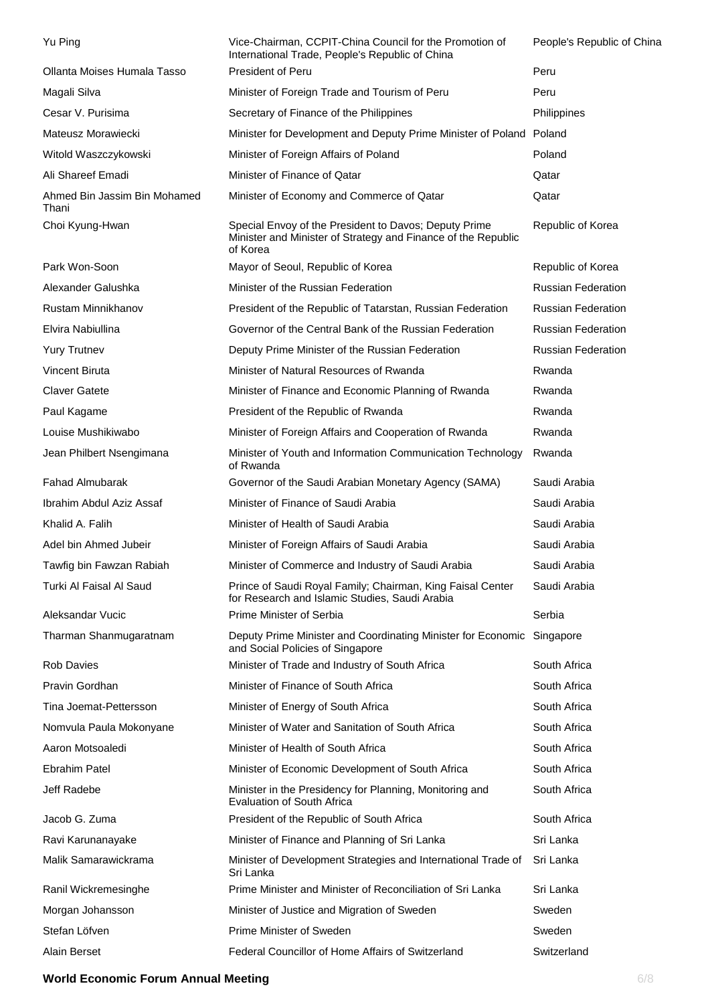| Yu Ping                               | Vice-Chairman, CCPIT-China Council for the Promotion of<br>International Trade, People's Republic of China                         | People's Republic of China |
|---------------------------------------|------------------------------------------------------------------------------------------------------------------------------------|----------------------------|
| Ollanta Moises Humala Tasso           | President of Peru                                                                                                                  | Peru                       |
| Magali Silva                          | Minister of Foreign Trade and Tourism of Peru                                                                                      | Peru                       |
| Cesar V. Purisima                     | Secretary of Finance of the Philippines                                                                                            | Philippines                |
| Mateusz Morawiecki                    | Minister for Development and Deputy Prime Minister of Poland Poland                                                                |                            |
| Witold Waszczykowski                  | Minister of Foreign Affairs of Poland                                                                                              | Poland                     |
| Ali Shareef Emadi                     | Minister of Finance of Qatar                                                                                                       | Qatar                      |
| Ahmed Bin Jassim Bin Mohamed<br>Thani | Minister of Economy and Commerce of Qatar                                                                                          | Qatar                      |
| Choi Kyung-Hwan                       | Special Envoy of the President to Davos; Deputy Prime<br>Minister and Minister of Strategy and Finance of the Republic<br>of Korea | Republic of Korea          |
| Park Won-Soon                         | Mayor of Seoul, Republic of Korea                                                                                                  | Republic of Korea          |
| Alexander Galushka                    | Minister of the Russian Federation                                                                                                 | <b>Russian Federation</b>  |
| <b>Rustam Minnikhanov</b>             | President of the Republic of Tatarstan, Russian Federation                                                                         | <b>Russian Federation</b>  |
| Elvira Nabiullina                     | Governor of the Central Bank of the Russian Federation                                                                             | <b>Russian Federation</b>  |
| <b>Yury Trutnev</b>                   | Deputy Prime Minister of the Russian Federation                                                                                    | <b>Russian Federation</b>  |
| Vincent Biruta                        | Minister of Natural Resources of Rwanda                                                                                            | Rwanda                     |
| <b>Claver Gatete</b>                  | Minister of Finance and Economic Planning of Rwanda                                                                                | Rwanda                     |
| Paul Kagame                           | President of the Republic of Rwanda                                                                                                | Rwanda                     |
| Louise Mushikiwabo                    | Minister of Foreign Affairs and Cooperation of Rwanda                                                                              | Rwanda                     |
| Jean Philbert Nsengimana              | Minister of Youth and Information Communication Technology<br>of Rwanda                                                            | Rwanda                     |
| <b>Fahad Almubarak</b>                | Governor of the Saudi Arabian Monetary Agency (SAMA)                                                                               | Saudi Arabia               |
| Ibrahim Abdul Aziz Assaf              | Minister of Finance of Saudi Arabia                                                                                                | Saudi Arabia               |
| Khalid A. Falih                       | Minister of Health of Saudi Arabia                                                                                                 | Saudi Arabia               |
| Adel bin Ahmed Jubeir                 | Minister of Foreign Affairs of Saudi Arabia                                                                                        | Saudi Arabia               |
| Tawfig bin Fawzan Rabiah              | Minister of Commerce and Industry of Saudi Arabia                                                                                  | Saudi Arabia               |
| Turki Al Faisal Al Saud               | Prince of Saudi Royal Family; Chairman, King Faisal Center<br>for Research and Islamic Studies, Saudi Arabia                       | Saudi Arabia               |
| Aleksandar Vucic                      | Prime Minister of Serbia                                                                                                           | Serbia                     |
| Tharman Shanmugaratnam                | Deputy Prime Minister and Coordinating Minister for Economic Singapore<br>and Social Policies of Singapore                         |                            |
| <b>Rob Davies</b>                     | Minister of Trade and Industry of South Africa                                                                                     | South Africa               |
| Pravin Gordhan                        | Minister of Finance of South Africa                                                                                                | South Africa               |
| Tina Joemat-Pettersson                | Minister of Energy of South Africa                                                                                                 | South Africa               |
| Nomvula Paula Mokonyane               | Minister of Water and Sanitation of South Africa                                                                                   | South Africa               |
| Aaron Motsoaledi                      | Minister of Health of South Africa                                                                                                 | South Africa               |
| <b>Ebrahim Patel</b>                  | Minister of Economic Development of South Africa                                                                                   | South Africa               |
| Jeff Radebe                           | Minister in the Presidency for Planning, Monitoring and<br><b>Evaluation of South Africa</b>                                       | South Africa               |
| Jacob G. Zuma                         | President of the Republic of South Africa                                                                                          | South Africa               |
| Ravi Karunanayake                     | Minister of Finance and Planning of Sri Lanka                                                                                      | Sri Lanka                  |
| Malik Samarawickrama                  | Minister of Development Strategies and International Trade of<br>Sri Lanka                                                         | Sri Lanka                  |
| Ranil Wickremesinghe                  | Prime Minister and Minister of Reconciliation of Sri Lanka                                                                         | Sri Lanka                  |
| Morgan Johansson                      | Minister of Justice and Migration of Sweden                                                                                        | Sweden                     |
| Stefan Löfven                         | Prime Minister of Sweden                                                                                                           | Sweden                     |
| Alain Berset                          | Federal Councillor of Home Affairs of Switzerland                                                                                  | Switzerland                |

### **World Economic Forum Annual Meeting 6/8 and 7 and 7 and 7 and 7 and 7 and 7 and 7 and 7 and 7 and 7 and 7 and 7 and 7 and 7 and 7 and 7 and 7 and 7 and 7 and 7 and 7 and 7 and 7 and 7 and 7 and 7 and 7 and 7 and 7 and 7 a**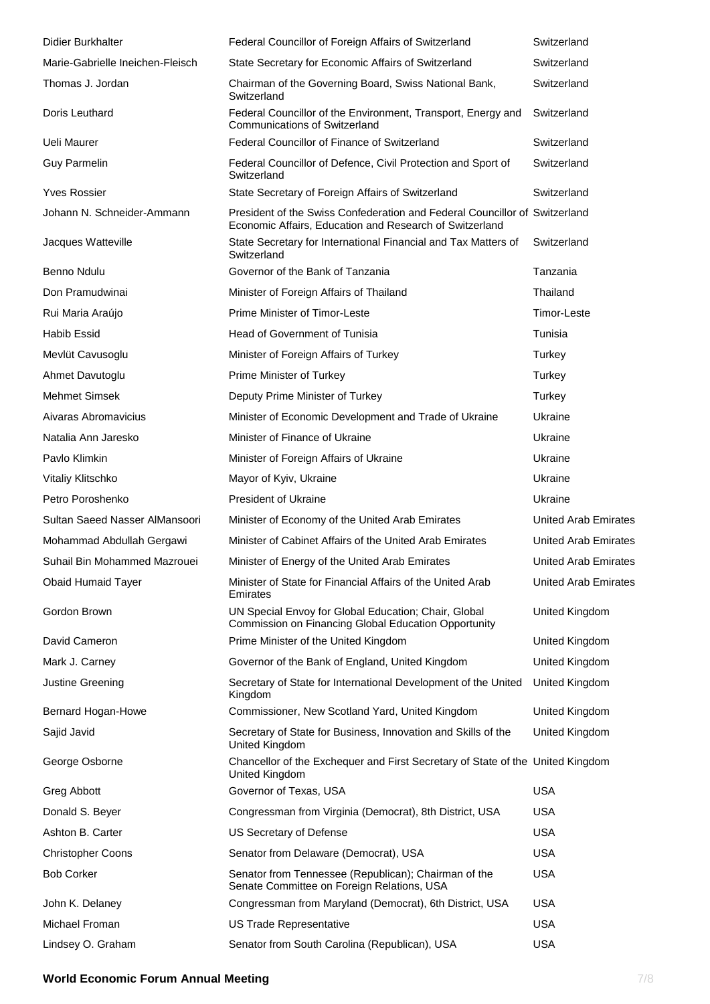| <b>Didier Burkhalter</b>         | Federal Councillor of Foreign Affairs of Switzerland                                                                                  | Switzerland                 |
|----------------------------------|---------------------------------------------------------------------------------------------------------------------------------------|-----------------------------|
| Marie-Gabrielle Ineichen-Fleisch | State Secretary for Economic Affairs of Switzerland                                                                                   | Switzerland                 |
| Thomas J. Jordan                 | Chairman of the Governing Board, Swiss National Bank,<br>Switzerland                                                                  | Switzerland                 |
| Doris Leuthard                   | Federal Councillor of the Environment, Transport, Energy and<br><b>Communications of Switzerland</b>                                  | Switzerland                 |
| Ueli Maurer                      | Federal Councillor of Finance of Switzerland                                                                                          | Switzerland                 |
| <b>Guy Parmelin</b>              | Federal Councillor of Defence, Civil Protection and Sport of<br>Switzerland                                                           | Switzerland                 |
| <b>Yves Rossier</b>              | State Secretary of Foreign Affairs of Switzerland                                                                                     | Switzerland                 |
| Johann N. Schneider-Ammann       | President of the Swiss Confederation and Federal Councillor of Switzerland<br>Economic Affairs, Education and Research of Switzerland |                             |
| Jacques Watteville               | State Secretary for International Financial and Tax Matters of<br>Switzerland                                                         | Switzerland                 |
| Benno Ndulu                      | Governor of the Bank of Tanzania                                                                                                      | Tanzania                    |
| Don Pramudwinai                  | Minister of Foreign Affairs of Thailand                                                                                               | Thailand                    |
| Rui Maria Araújo                 | Prime Minister of Timor-Leste                                                                                                         | Timor-Leste                 |
| <b>Habib Essid</b>               | Head of Government of Tunisia                                                                                                         | Tunisia                     |
| Mevlüt Cavusoglu                 | Minister of Foreign Affairs of Turkey                                                                                                 | Turkey                      |
| Ahmet Davutoglu                  | Prime Minister of Turkey                                                                                                              | Turkey                      |
| <b>Mehmet Simsek</b>             | Deputy Prime Minister of Turkey                                                                                                       | Turkey                      |
| Aivaras Abromavicius             | Minister of Economic Development and Trade of Ukraine                                                                                 | Ukraine                     |
| Natalia Ann Jaresko              | Minister of Finance of Ukraine                                                                                                        | Ukraine                     |
| Pavlo Klimkin                    | Minister of Foreign Affairs of Ukraine                                                                                                | Ukraine                     |
| Vitaliy Klitschko                | Mayor of Kyiv, Ukraine                                                                                                                | Ukraine                     |
| Petro Poroshenko                 | President of Ukraine                                                                                                                  | Ukraine                     |
| Sultan Saeed Nasser AlMansoori   | Minister of Economy of the United Arab Emirates                                                                                       | <b>United Arab Emirates</b> |
| Mohammad Abdullah Gergawi        | Minister of Cabinet Affairs of the United Arab Emirates                                                                               | <b>United Arab Emirates</b> |
| Suhail Bin Mohammed Mazrouei     | Minister of Energy of the United Arab Emirates                                                                                        | United Arab Emirates        |
| <b>Obaid Humaid Tayer</b>        | Minister of State for Financial Affairs of the United Arab<br>Emirates                                                                | <b>United Arab Emirates</b> |
| Gordon Brown                     | UN Special Envoy for Global Education; Chair, Global<br>Commission on Financing Global Education Opportunity                          | United Kingdom              |
| David Cameron                    | Prime Minister of the United Kingdom                                                                                                  | United Kingdom              |
| Mark J. Carney                   | Governor of the Bank of England, United Kingdom                                                                                       | United Kingdom              |
| Justine Greening                 | Secretary of State for International Development of the United<br>Kingdom                                                             | United Kingdom              |
| Bernard Hogan-Howe               | Commissioner, New Scotland Yard, United Kingdom                                                                                       | United Kingdom              |
| Sajid Javid                      | Secretary of State for Business, Innovation and Skills of the<br>United Kingdom                                                       | United Kingdom              |
| George Osborne                   | Chancellor of the Exchequer and First Secretary of State of the United Kingdom<br>United Kingdom                                      |                             |
| Greg Abbott                      | Governor of Texas, USA                                                                                                                | <b>USA</b>                  |
| Donald S. Beyer                  | Congressman from Virginia (Democrat), 8th District, USA                                                                               | <b>USA</b>                  |
| Ashton B. Carter                 | US Secretary of Defense                                                                                                               | <b>USA</b>                  |
| <b>Christopher Coons</b>         | Senator from Delaware (Democrat), USA                                                                                                 | <b>USA</b>                  |
| <b>Bob Corker</b>                | Senator from Tennessee (Republican); Chairman of the<br>Senate Committee on Foreign Relations, USA                                    | <b>USA</b>                  |
| John K. Delaney                  | Congressman from Maryland (Democrat), 6th District, USA                                                                               | <b>USA</b>                  |
| Michael Froman                   | US Trade Representative                                                                                                               | <b>USA</b>                  |
| Lindsey O. Graham                | Senator from South Carolina (Republican), USA                                                                                         | <b>USA</b>                  |

#### **World Economic Forum Annual Meeting 7/8 and 7/8 and 7/8 and 7/8 and 7/8 and 7/8 and 7/8 and 7/8 and 7/8 and 7/8 and 7/8 and 7/8 and 7/8 and 7/8 and 7/8 and 7/8 and 7/8 and 7/8 and 7/8 and 7/8 and 7/8 and 7/8 and 7/8 and 7**